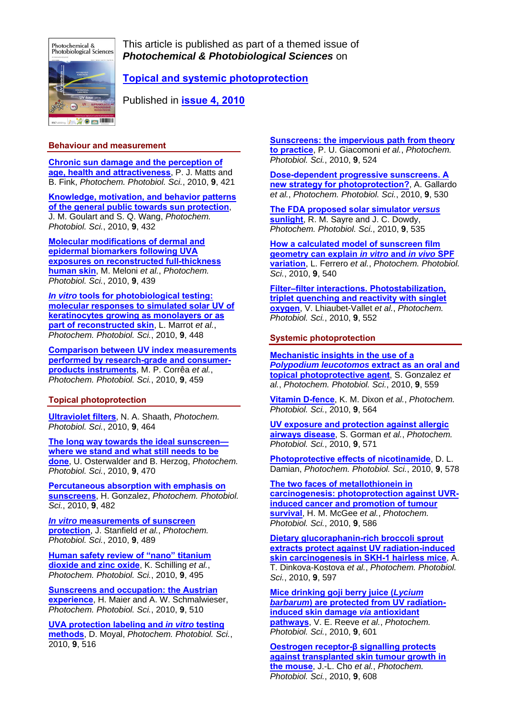

This article is published as part of a themed issue of *Photochemical & Photobiological Sciences* on

# **[Topical and systemic photoprotection](http://www.rsc.org/Publishing/Journals/PP/article.asp?Journal=PP26&VolumeYear=20106&Volume=9&JournalCode=PP&MasterJournalCode=PP&SubYear=2010&type=Issue&Issue=4)**

Published in **[issue 4, 2010](http://www.rsc.org/Publishing/Journals/PP/article.asp?Journal=PP26&VolumeYear=20106&Volume=9&JournalCode=PP&MasterJournalCode=PP&SubYear=2010&type=Issue&Issue=4)**

### **Behaviour and measurement**

**[Chronic sun damage and the perception of](http://www.rsc.org/publishing/journals/PP/article.asp?doi=B9PP00166B)  [age, health and attractiveness](http://www.rsc.org/publishing/journals/PP/article.asp?doi=B9PP00166B)**, P. J. Matts and B. Fink, *Photochem. Photobiol. Sci.*, 2010, **9**, 421

**[Knowledge, motivation, and behavior patterns](http://www.rsc.org/publishing/journals/PP/article.asp?doi=B9PP00122K)  [of the general public towards sun protection](http://www.rsc.org/publishing/journals/PP/article.asp?doi=B9PP00122K)**, J. M. Goulart and S. Q. Wang, *Photochem. Photobiol. Sci.*, 2010, **9**, 432

**[Molecular modifications of dermal and](http://www.rsc.org/publishing/journals/PP/article.asp?doi=B9PP00164F)  [epidermal biomarkers following UVA](http://www.rsc.org/publishing/journals/PP/article.asp?doi=B9PP00164F)  [exposures on reconstructed full-thickness](http://www.rsc.org/publishing/journals/PP/article.asp?doi=B9PP00164F)  [human skin](http://www.rsc.org/publishing/journals/PP/article.asp?doi=B9PP00164F)**, M. Meloni *et al.*, *Photochem. Photobiol. Sci.*, 2010, **9**, 439

*In vitro* **[tools for photobiological testing:](http://www.rsc.org/publishing/journals/PP/article.asp?doi=B9PP00145J)  [molecular responses to simulated solar UV of](http://www.rsc.org/publishing/journals/PP/article.asp?doi=B9PP00145J)  [keratinocytes growing as monolayers or as](http://www.rsc.org/publishing/journals/PP/article.asp?doi=B9PP00145J)  [part of reconstructed skin](http://www.rsc.org/publishing/journals/PP/article.asp?doi=B9PP00145J)**, L. Marrot *et al.*, *Photochem. Photobiol. Sci.*, 2010, **9**, 448

**[Comparison between UV index measurements](http://www.rsc.org/publishing/journals/PP/article.asp?doi=b9pp00179d)  [performed by research-grade and consumer](http://www.rsc.org/publishing/journals/PP/article.asp?doi=b9pp00179d)[products instruments](http://www.rsc.org/publishing/journals/PP/article.asp?doi=b9pp00179d)**, M. P. Corrêa *et al.*, *Photochem. Photobiol. Sci.*, 2010, **9**, 459

## **Topical photoprotection**

**[Ultraviolet filters](http://www.rsc.org/publishing/journals/PP/article.asp?doi=B9PP00174C)**, N. A. Shaath, *Photochem. Photobiol. Sci.*, 2010, **9**, 464

**[The long way towards the ideal sunscreen](http://www.rsc.org/publishing/journals/PP/article.asp?doi=B9PP00178F) [where we stand and what still needs to be](http://www.rsc.org/publishing/journals/PP/article.asp?doi=B9PP00178F)  [done](http://www.rsc.org/publishing/journals/PP/article.asp?doi=B9PP00178F)**, U. Osterwalder and B. Herzog, *Photochem. Photobiol. Sci.*, 2010, **9**, 470

**[Percutaneous absorption with emphasis on](http://www.rsc.org/publishing/journals/PP/article.asp?doi=B9PP00149B)  [sunscreens](http://www.rsc.org/publishing/journals/PP/article.asp?doi=B9PP00149B)**, H. Gonzalez, *Photochem. Photobiol. Sci.*, 2010, **9**, 482

*In vitro* **[measurements of sunscreen](http://www.rsc.org/publishing/journals/PP/article.asp?doi=B9PP00181F)  [protection](http://www.rsc.org/publishing/journals/PP/article.asp?doi=B9PP00181F)**, J. Stanfield *et al.*, *Photochem. Photobiol. Sci.*, 2010, **9**, 489

**[Human safety review of "nano" titanium](http://www.rsc.org/publishing/journals/PP/article.asp?doi=B9PP00180H)  [dioxide and zinc oxide](http://www.rsc.org/publishing/journals/PP/article.asp?doi=B9PP00180H)**, K. Schilling *et al.*, *Photochem. Photobiol. Sci.*, 2010, **9**, 495

**[Sunscreens and occupation: the Austrian](http://www.rsc.org/publishing/journals/PP/article.asp?doi=B9PP00147F)  [experience](http://www.rsc.org/publishing/journals/PP/article.asp?doi=B9PP00147F)**, H. Maier and A. W. Schmalwieser, *Photochem. Photobiol. Sci.*, 2010, **9**, 510

**[UVA protection labeling and](http://www.rsc.org/publishing/journals/PP/article.asp?doi=B9PP00139E)** *in vitro* **testing [methods](http://www.rsc.org/publishing/journals/PP/article.asp?doi=B9PP00139E)**, D. Moyal, *Photochem. Photobiol. Sci.*, 2010, **9**, 516

**[Sunscreens: the impervious path from theory](http://www.rsc.org/publishing/journals/PP/article.asp?doi=B9PP00150F)  [to practice](http://www.rsc.org/publishing/journals/PP/article.asp?doi=B9PP00150F)**, P. U. Giacomoni *et al.*, *Photochem. Photobiol. Sci.*, 2010, **9**, 524

**[Dose-dependent progressive sunscreens. A](http://www.rsc.org/publishing/journals/PP/article.asp?doi=B9PP00188C)  [new strategy for photoprotection?](http://www.rsc.org/publishing/journals/PP/article.asp?doi=B9PP00188C)**, A. Gallardo *et al.*, *Photochem. Photobiol. Sci.*, 2010, **9**, 530

**[The FDA proposed solar simulator](http://www.rsc.org/publishing/journals/PP/article.asp?doi=B9PP00148D)** *versus* **[sunlight](http://www.rsc.org/publishing/journals/PP/article.asp?doi=B9PP00148D)**, R. M. Sayre and J. C. Dowdy, *Photochem. Photobiol. Sci.*, 2010, **9**, 535

**[How a calculated model of sunscreen film](http://www.rsc.org/publishing/journals/PP/article.asp?doi=B9PP00183B)  [geometry can explain](http://www.rsc.org/publishing/journals/PP/article.asp?doi=B9PP00183B)** *in vitro* **and** *in vivo* **SPF [variation](http://www.rsc.org/publishing/journals/PP/article.asp?doi=B9PP00183B)**, L. Ferrero *et al.*, *Photochem. Photobiol. Sci.*, 2010, **9**, 540

**[Filter–filter interactions. Photostabilization,](http://www.rsc.org/publishing/journals/PP/article.asp?doi=B9PP00158A)  [triplet quenching and reactivity with singlet](http://www.rsc.org/publishing/journals/PP/article.asp?doi=B9PP00158A)  [oxygen](http://www.rsc.org/publishing/journals/PP/article.asp?doi=B9PP00158A)**, V. Lhiaubet-Vallet *et al.*, *Photochem. Photobiol. Sci.*, 2010, **9**, 552

#### **Systemic photoprotection**

**[Mechanistic insights in the use of a](http://www.rsc.org/publishing/journals/PP/article.asp?doi=B9PP00156E)**  *[Polypodium leucotomos](http://www.rsc.org/publishing/journals/PP/article.asp?doi=B9PP00156E)* **extract as an oral and [topical photoprotective agent](http://www.rsc.org/publishing/journals/PP/article.asp?doi=B9PP00156E)**, S. Gonzalez *et al.*, *Photochem. Photobiol. Sci.*, 2010, **9**, 559

**[Vitamin D-fence](http://www.rsc.org/publishing/journals/PP/article.asp?doi=B9PP00184K)**, K. M. Dixon *et al.*, *Photochem. Photobiol. Sci.*, 2010, **9**, 564

**[UV exposure and protection against allergic](http://www.rsc.org/publishing/journals/PP/article.asp?doi=B9PP00136K)  [airways disease](http://www.rsc.org/publishing/journals/PP/article.asp?doi=B9PP00136K)**, S. Gorman *et al.*, *Photochem. Photobiol. Sci.*, 2010, **9**, 571

**[Photoprotective effects of nicotinamide](http://www.rsc.org/publishing/journals/PP/article.asp?doi=B9PP00146H)**, D. L. Damian, *Photochem. Photobiol. Sci.*, 2010, **9**, 578

**[The two faces of metallothionein in](http://www.rsc.org/publishing/journals/PP/article.asp?doi=B9PP00155G)  [carcinogenesis: photoprotection against UVR](http://www.rsc.org/publishing/journals/PP/article.asp?doi=B9PP00155G)[induced cancer and promotion of tumour](http://www.rsc.org/publishing/journals/PP/article.asp?doi=B9PP00155G)  [survival](http://www.rsc.org/publishing/journals/PP/article.asp?doi=B9PP00155G)**, H. M. McGee *et al.*, *Photochem. Photobiol. Sci.*, 2010, **9**, 586

**[Dietary glucoraphanin-rich broccoli sprout](http://www.rsc.org/publishing/journals/PP/article.asp?doi=B9PP00130A)  [extracts protect against UV radiation-induced](http://www.rsc.org/publishing/journals/PP/article.asp?doi=B9PP00130A)  [skin carcinogenesis in SKH-1 hairless mice](http://www.rsc.org/publishing/journals/PP/article.asp?doi=B9PP00130A)**, A. T. Dinkova-Kostova *et al.*, *Photochem. Photobiol. Sci.*, 2010, **9**, 597

**[Mice drinking goji berry juice \(](http://www.rsc.org/publishing/journals/PP/article.asp?doi=B9PP00177H)***Lycium barbarum***[\) are protected from UV radiation](http://www.rsc.org/publishing/journals/PP/article.asp?doi=B9PP00177H)[induced skin damage](http://www.rsc.org/publishing/journals/PP/article.asp?doi=B9PP00177H)** *via* **antioxidant [pathways](http://www.rsc.org/publishing/journals/PP/article.asp?doi=B9PP00177H)**, V. E. Reeve *et al.*, *Photochem. Photobiol. Sci.*, 2010, **9**, 601

**[Oestrogen receptor-](http://www.rsc.org/publishing/journals/PP/article.asp?doi=B9PP00168A)β signalling protects [against transplanted skin tumour growth in](http://www.rsc.org/publishing/journals/PP/article.asp?doi=B9PP00168A)  [the mouse](http://www.rsc.org/publishing/journals/PP/article.asp?doi=B9PP00168A)**, J.-L. Cho *et al.*, *Photochem. Photobiol. Sci.*, 2010, **9**, 608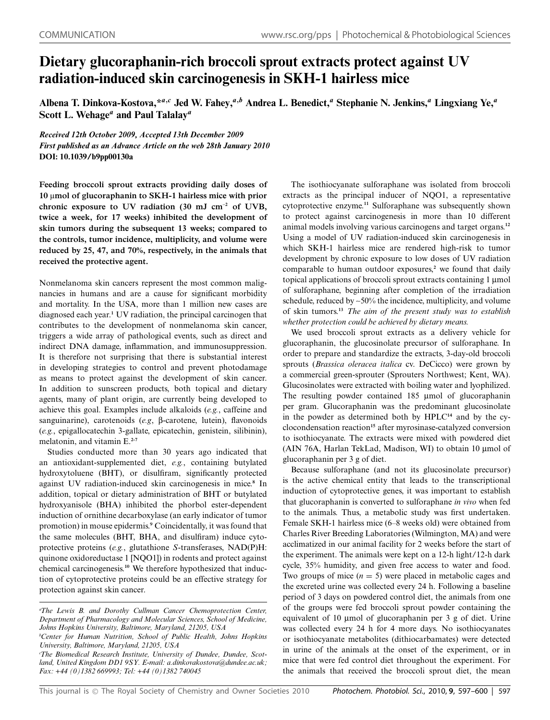# **Dietary glucoraphanin-rich broccoli sprout extracts protect against UV radiation-induced skin carcinogenesis in SKH-1 hairless mice**

**Albena T. Dinkova-Kostova,\****<sup>a</sup>,<sup>c</sup>* **Jed W. Fahey,***<sup>a</sup>,<sup>b</sup>* **Andrea L. Benedict,***<sup>a</sup>* **Stephanie N. Jenkins,***<sup>a</sup>* **Lingxiang Ye,***<sup>a</sup>* **Scott L. Wehage***<sup>a</sup>* **and Paul Talalay***<sup>a</sup>*

*Received 12th October 2009, Accepted 13th December 2009 First published as an Advance Article on the web 28th January 2010* **DOI: 10.1039/b9pp00130a**

**Feeding broccoli sprout extracts providing daily doses of 10** l**mol of glucoraphanin to SKH-1 hairless mice with prior chronic exposure to UV radiation (30 mJ cm**-**<sup>2</sup> of UVB, twice a week, for 17 weeks) inhibited the development of skin tumors during the subsequent 13 weeks; compared to the controls, tumor incidence, multiplicity, and volume were reduced by 25, 47, and 70%, respectively, in the animals that received the protective agent.**

Nonmelanoma skin cancers represent the most common malignancies in humans and are a cause for significant morbidity and mortality. In the USA, more than 1 million new cases are diagnosed each year.**<sup>1</sup>** UV radiation, the principal carcinogen that contributes to the development of nonmelanoma skin cancer, triggers a wide array of pathological events, such as direct and indirect DNA damage, inflammation, and immunosuppression. It is therefore not surprising that there is substantial interest in developing strategies to control and prevent photodamage as means to protect against the development of skin cancer. In addition to sunscreen products, both topical and dietary agents, many of plant origin, are currently being developed to achieve this goal. Examples include alkaloids (*e.g.*, caffeine and sanguinarine), carotenoids (*e.g*, b-carotene, lutein), flavonoids (*e.g.*, epigallocatechin 3-gallate, epicatechin, genistein, silibinin), melatonin, and vitamin E.**2-7**

Studies conducted more than 30 years ago indicated that an antioxidant-supplemented diet, *e.g.*, containing butylated hydroxytoluene (BHT), or disulfiram, significantly protected against UV radiation-induced skin carcinogenesis in mice.**<sup>8</sup>** In addition, topical or dietary administration of BHT or butylated hydroxyanisole (BHA) inhibited the phorbol ester-dependent induction of ornithine decarboxylase (an early indicator of tumor promotion) in mouse epidermis.**<sup>9</sup>** Coincidentally, it was found that the same molecules (BHT, BHA, and disulfiram) induce cytoprotective proteins (*e.g.*, glutathione *S*-transferases, NAD(P)H: quinone oxidoreductase 1 [NQO1]) in rodents and protect against chemical carcinogenesis.**<sup>10</sup>** We therefore hypothesized that induction of cytoprotective proteins could be an effective strategy for protection against skin cancer.

The isothiocyanate sulforaphane was isolated from broccoli extracts as the principal inducer of NQO1, a representative cytoprotective enzyme.**<sup>11</sup>** Sulforaphane was subsequently shown to protect against carcinogenesis in more than 10 different animal models involving various carcinogens and target organs.**<sup>12</sup>** Using a model of UV radiation-induced skin carcinogenesis in which SKH-1 hairless mice are rendered high-risk to tumor development by chronic exposure to low doses of UV radiation comparable to human outdoor exposures,**<sup>2</sup>** we found that daily topical applications of broccoli sprout extracts containing 1 µmol of sulforaphane, beginning after completion of the irradiation schedule, reduced by ~50% the incidence, multiplicity, and volume of skin tumors.**<sup>13</sup>** *The aim of the present study was to establish whether protection could be achieved by dietary means.*

We used broccoli sprout extracts as a delivery vehicle for glucoraphanin, the glucosinolate precursor of sulforaphane. In order to prepare and standardize the extracts, 3-day-old broccoli sprouts (*Brassica oleracea italica* cv. DeCicco) were grown by a commercial green-sprouter (Sprouters Northwest; Kent, WA). Glucosinolates were extracted with boiling water and lyophilized. The resulting powder contained 185 µmol of glucoraphanin per gram. Glucoraphanin was the predominant glucosinolate in the powder as determined both by HPLC**<sup>14</sup>** and by the cyclocondensation reaction**<sup>15</sup>** after myrosinase-catalyzed conversion to isothiocyanate. The extracts were mixed with powdered diet (AIN 76A, Harlan TekLad, Madison, WI) to obtain 10 µmol of glucoraphanin per 3 g of diet.

Because sulforaphane (and not its glucosinolate precursor) is the active chemical entity that leads to the transcriptional induction of cytoprotective genes, it was important to establish that glucoraphanin is converted to sulforaphane *in vivo* when fed to the animals. Thus, a metabolic study was first undertaken. Female SKH-1 hairless mice (6–8 weeks old) were obtained from Charles River Breeding Laboratories (Wilmington, MA) and were acclimatized in our animal facility for 2 weeks before the start of the experiment. The animals were kept on a 12-h light/12-h dark cycle, 35% humidity, and given free access to water and food. Two groups of mice  $(n = 5)$  were placed in metabolic cages and the excreted urine was collected every 24 h. Following a baseline period of 3 days on powdered control diet, the animals from one of the groups were fed broccoli sprout powder containing the equivalent of 10  $\mu$ mol of glucoraphanin per 3 g of diet. Urine was collected every 24 h for 4 more days. No isothiocyanates or isothiocyanate metabolites (dithiocarbamates) were detected in urine of the animals at the onset of the experiment, or in mice that were fed control diet throughout the experiment. For the animals that received the broccoli sprout diet, the mean

*a The Lewis B. and Dorothy Cullman Cancer Chemoprotection Center, Department of Pharmacology and Molecular Sciences, School of Medicine, Johns Hopkins University, Baltimore, Maryland, 21205, USA*

*b Center for Human Nutrition, School of Public Health, Johns Hopkins University, Baltimore, Maryland, 21205, USA*

*c The Biomedical Research Institute, University of Dundee, Dundee, Scotland, United Kingdom DD1 9SY. E-mail: a.dinkovakostova@dundee.ac.uk; Fax: +44 (0)1382 669993; Tel: +44 (0)1382 740045*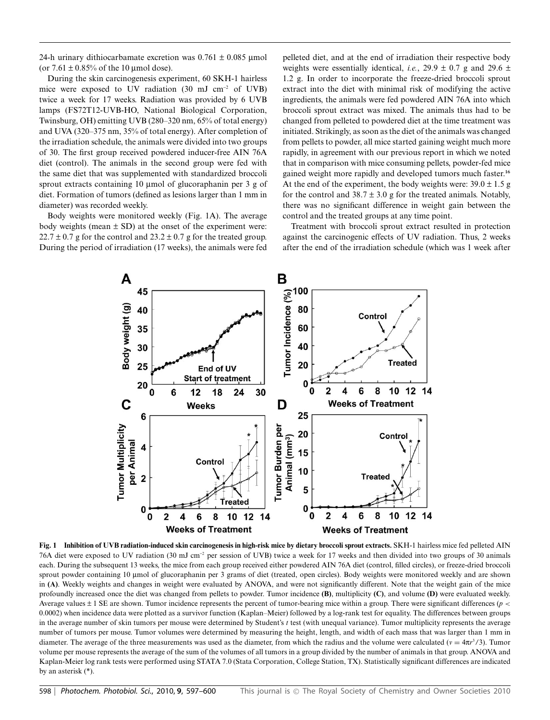24-h urinary dithiocarbamate excretion was  $0.761 \pm 0.085$  µmol (or  $7.61 \pm 0.85\%$  of the 10 µmol dose).

During the skin carcinogenesis experiment, 60 SKH-1 hairless mice were exposed to UV radiation (30 mJ cm-<sup>2</sup> of UVB) twice a week for 17 weeks. Radiation was provided by 6 UVB lamps (FS72T12-UVB-HO, National Biological Corporation, Twinsburg, OH) emitting UVB (280–320 nm, 65% of total energy) and UVA (320–375 nm, 35% of total energy). After completion of the irradiation schedule, the animals were divided into two groups of 30. The first group received powdered inducer-free AIN 76A diet (control). The animals in the second group were fed with the same diet that was supplemented with standardized broccoli sprout extracts containing 10 µmol of glucoraphanin per 3 g of diet. Formation of tumors (defined as lesions larger than 1 mm in diameter) was recorded weekly.

Body weights were monitored weekly (Fig. 1A). The average body weights (mean  $\pm$  SD) at the onset of the experiment were:  $22.7 \pm 0.7$  g for the control and  $23.2 \pm 0.7$  g for the treated group. During the period of irradiation (17 weeks), the animals were fed pelleted diet, and at the end of irradiation their respective body weights were essentially identical, *i.e.*, 29.9  $\pm$  0.7 g and 29.6  $\pm$ 1.2 g. In order to incorporate the freeze-dried broccoli sprout extract into the diet with minimal risk of modifying the active ingredients, the animals were fed powdered AIN 76A into which broccoli sprout extract was mixed. The animals thus had to be changed from pelleted to powdered diet at the time treatment was initiated. Strikingly, as soon as the diet of the animals was changed from pellets to powder, all mice started gaining weight much more rapidly, in agreement with our previous report in which we noted that in comparison with mice consuming pellets, powder-fed mice gained weight more rapidly and developed tumors much faster.**<sup>16</sup>** At the end of the experiment, the body weights were:  $39.0 \pm 1.5$  g for the control and  $38.7 \pm 3.0$  g for the treated animals. Notably, there was no significant difference in weight gain between the control and the treated groups at any time point.

Treatment with broccoli sprout extract resulted in protection against the carcinogenic effects of UV radiation. Thus, 2 weeks after the end of the irradiation schedule (which was 1 week after



**Fig. 1 Inhibition of UVB radiation-induced skin carcinogenesis in high-risk mice by dietary broccoli sprout extracts.** SKH-1 hairless mice fed pelleted AIN 76A diet were exposed to UV radiation (30 mJ cm-<sup>2</sup> per session of UVB) twice a week for 17 weeks and then divided into two groups of 30 animals each. During the subsequent 13 weeks, the mice from each group received either powdered AIN 76A diet (control, filled circles), or freeze-dried broccoli sprout powder containing 10 µmol of glucoraphanin per 3 grams of diet (treated, open circles). Body weights were monitored weekly and are shown in **(A)**. Weekly weights and changes in weight were evaluated by ANOVA, and were not significantly different. Note that the weight gain of the mice profoundly increased once the diet was changed from pellets to powder. Tumor incidence **(B)**, multiplicity **(C)**, and volume **(D)** were evaluated weekly. Average values  $\pm 1$  SE are shown. Tumor incidence represents the percent of tumor-bearing mice within a group. There were significant differences (*p* < 0.0002) when incidence data were plotted as a survivor function (Kaplan–Meier) followed by a log-rank test for equality. The differences between groups in the average number of skin tumors per mouse were determined by Student's *t* test (with unequal variance). Tumor multiplicity represents the average number of tumors per mouse. Tumor volumes were determined by measuring the height, length, and width of each mass that was larger than 1 mm in diameter. The average of the three measurements was used as the diameter, from which the radius and the volume were calculated ( $v = 4\pi r^3/3$ ). Tumor volume per mouse represents the average of the sum of the volumes of all tumors in a group divided by the number of animals in that group. ANOVA and Kaplan-Meier log rank tests were performed using STATA 7.0 (Stata Corporation, College Station, TX). Statistically significant differences are indicated by an asterisk (\*).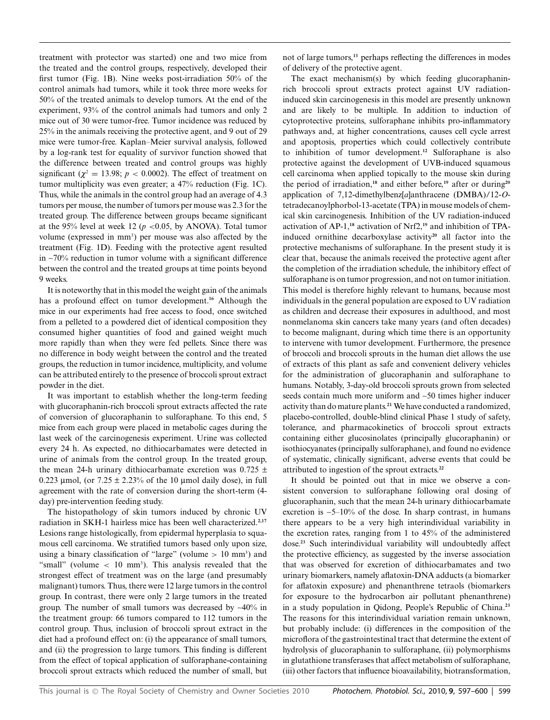treatment with protector was started) one and two mice from the treated and the control groups, respectively, developed their first tumor (Fig. 1B). Nine weeks post-irradiation 50% of the control animals had tumors, while it took three more weeks for 50% of the treated animals to develop tumors. At the end of the experiment, 93% of the control animals had tumors and only 2 mice out of 30 were tumor-free. Tumor incidence was reduced by 25% in the animals receiving the protective agent, and 9 out of 29 mice were tumor-free. Kaplan–Meier survival analysis, followed by a log-rank test for equality of survivor function showed that the difference between treated and control groups was highly significant ( $\chi^2$  = 13.98; *p* < 0.0002). The effect of treatment on tumor multiplicity was even greater; a 47% reduction (Fig. 1C). Thus, while the animals in the control group had an average of 4.3 tumors per mouse, the number of tumors per mouse was 2.3 for the treated group. The difference between groups became significant at the 95% level at week 12 ( $p < 0.05$ , by ANOVA). Total tumor volume (expressed in mm<sup>3</sup>) per mouse was also affected by the treatment (Fig. 1D). Feeding with the protective agent resulted in  $\approx$ 70% reduction in tumor volume with a significant difference between the control and the treated groups at time points beyond 9 weeks.

It is noteworthy that in this model the weight gain of the animals has a profound effect on tumor development.**<sup>16</sup>** Although the mice in our experiments had free access to food, once switched from a pelleted to a powdered diet of identical composition they consumed higher quantities of food and gained weight much more rapidly than when they were fed pellets. Since there was no difference in body weight between the control and the treated groups, the reduction in tumor incidence, multiplicity, and volume can be attributed entirely to the presence of broccoli sprout extract powder in the diet.

It was important to establish whether the long-term feeding with glucoraphanin-rich broccoli sprout extracts affected the rate of conversion of glucoraphanin to sulforaphane. To this end, 5 mice from each group were placed in metabolic cages during the last week of the carcinogenesis experiment. Urine was collected every 24 h. As expected, no dithiocarbamates were detected in urine of animals from the control group. In the treated group, the mean 24-h urinary dithiocarbamate excretion was  $0.725 \pm$ 0.223 µmol, (or  $7.25 \pm 2.23\%$  of the 10 µmol daily dose), in full agreement with the rate of conversion during the short-term (4 day) pre-intervention feeding study.

The histopathology of skin tumors induced by chronic UV radiation in SKH-1 hairless mice has been well characterized.**2,17** Lesions range histologically, from epidermal hyperplasia to squamous cell carcinoma. We stratified tumors based only upon size, using a binary classification of "large" (volume  $> 10$  mm<sup>3</sup>) and "small" (volume  $< 10$  mm<sup>3</sup>). This analysis revealed that the strongest effect of treatment was on the large (and presumably malignant) tumors. Thus, there were 12 large tumors in the control group. In contrast, there were only 2 large tumors in the treated group. The number of small tumors was decreased by  $-40\%$  in the treatment group: 66 tumors compared to 112 tumors in the control group. Thus, inclusion of broccoli sprout extract in the diet had a profound effect on: (i) the appearance of small tumors, and (ii) the progression to large tumors. This finding is different from the effect of topical application of sulforaphane-containing broccoli sprout extracts which reduced the number of small, but

not of large tumors,**<sup>13</sup>** perhaps reflecting the differences in modes of delivery of the protective agent.

The exact mechanism(s) by which feeding glucoraphaninrich broccoli sprout extracts protect against UV radiationinduced skin carcinogenesis in this model are presently unknown and are likely to be multiple. In addition to induction of cytoprotective proteins, sulforaphane inhibits pro-inflammatory pathways and, at higher concentrations, causes cell cycle arrest and apoptosis, properties which could collectively contribute to inhibition of tumor development.**<sup>12</sup>** Sulforaphane is also protective against the development of UVB-induced squamous cell carcinoma when applied topically to the mouse skin during the period of irradiation,**<sup>18</sup>** and either before,**<sup>19</sup>** after or during**<sup>20</sup>** application of 7,12-dimethylbenz[*a*]anthracene (DMBA)/12-*O*tetradecanoylphorbol-13-acetate (TPA) in mouse models of chemical skin carcinogenesis. Inhibition of the UV radiation-induced activation of AP-1,**<sup>18</sup>** activation of Nrf2,**<sup>19</sup>** and inhibition of TPAinduced ornithine decarboxylase activity**<sup>20</sup>** all factor into the protective mechanisms of sulforaphane. In the present study it is clear that, because the animals received the protective agent after the completion of the irradiation schedule, the inhibitory effect of sulforaphane is on tumor progression, and not on tumor initiation. This model is therefore highly relevant to humans, because most individuals in the general population are exposed to UV radiation as children and decrease their exposures in adulthood, and most nonmelanoma skin cancers take many years (and often decades) to become malignant, during which time there is an opportunity to intervene with tumor development. Furthermore, the presence of broccoli and broccoli sprouts in the human diet allows the use of extracts of this plant as safe and convenient delivery vehicles for the administration of glucoraphanin and sulforaphane to humans. Notably, 3-day-old broccoli sprouts grown from selected seeds contain much more uniform and ~50 times higher inducer activity than do mature plants.**<sup>21</sup>** We have conducted a randomized, placebo-controlled, double-blind clinical Phase 1 study of safety, tolerance, and pharmacokinetics of broccoli sprout extracts containing either glucosinolates (principally glucoraphanin) or isothiocyanates (principally sulforaphane), and found no evidence of systematic, clinically significant, adverse events that could be attributed to ingestion of the sprout extracts.**<sup>22</sup>**

It should be pointed out that in mice we observe a consistent conversion to sulforaphane following oral dosing of glucoraphanin, such that the mean 24-h urinary dithiocarbamate excretion is  $-5-10\%$  of the dose. In sharp contrast, in humans there appears to be a very high interindividual variability in the excretion rates, ranging from 1 to 45% of the administered dose.**<sup>23</sup>** Such interindividual variability will undoubtedly affect the protective efficiency, as suggested by the inverse association that was observed for excretion of dithiocarbamates and two urinary biomarkers, namely aflatoxin-DNA adducts (a biomarker for aflatoxin exposure) and phenanthrene tetraols (biomarkers for exposure to the hydrocarbon air pollutant phenanthrene) in a study population in Qidong, People's Republic of China.**<sup>23</sup>** The reasons for this interindividual variation remain unknown, but probably include: (i) differences in the composition of the microflora of the gastrointestinal tract that determine the extent of hydrolysis of glucoraphanin to sulforaphane, (ii) polymorphisms in glutathione transferases that affect metabolism of sulforaphane, (iii) other factors that influence bioavailability, biotransformation,